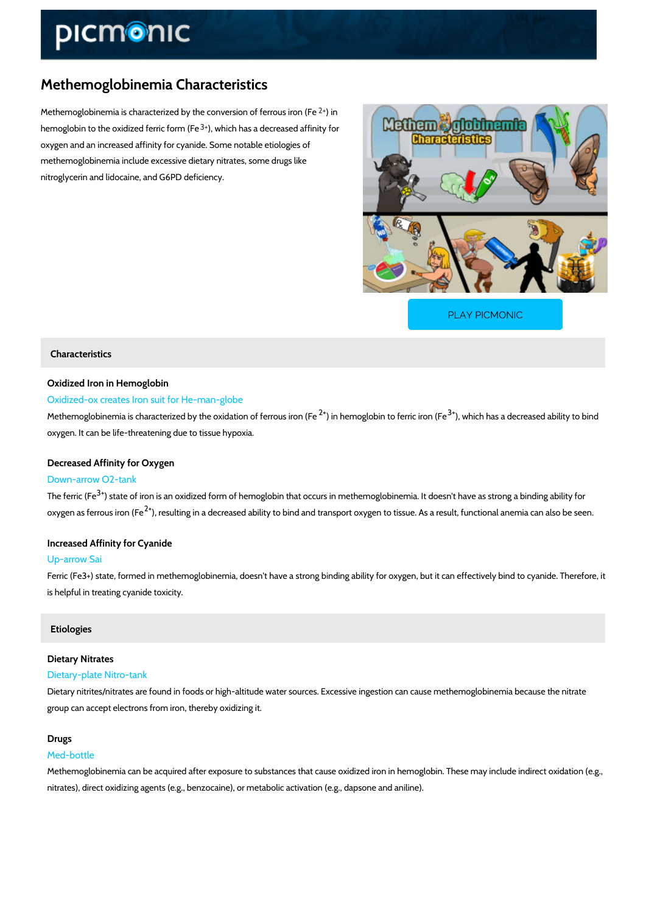# Methemoglobinemia Characteristics

Methemoglobinemia is characterized by the  $2\phi$  minersion of ferrous iron (Fe hemoglobin to the oxidized  $\frac{3}{3}$ , few hich form is (a Fedecreased affinity for oxygen and an increased affinity for cyanide. Some notable etiologies of methemoglobinemia include excessive dietary nitrates, some drugs like nitroglycerin and lidocaine, and G6PD deficiency.

[PLAY PICMONIC](https://www.picmonic.com/learn/methemoglobinemia-characteristics_50470?utm_source=downloadable_content&utm_medium=distributedcontent&utm_campaign=pathways_pdf&utm_content=Methemoglobinemia Characteristics&utm_ad_group=leads&utm_market=all)

## Characteristics

## Oxidized Iron in Hemoglobin

## Oxidized-ox creates Iron suit for He-man-globe

Methemoglobinemia is characterized by the<sup>2</sup> $\phi$  xindahte on moglifoben rolous  $\partial \phi$  for point of feden has a decreased ability of  $\phi$ oxygen. It can be life-threatening due to tissue hypoxia.

## Decreased Affinity for Oxygen

## Down-arrow O2-tank

The ferr $35$   $6$  Fate of iron is an oxidized form of hemoglobin that occurs in methemoglobinemia. oxygen as ferro $\hat{u}$ s, ineosnu (Fieng in a decreased ability to bind and transport oxygen to tissue. As

## Increased Affinity for Cyanide

## Up-arrow Sai

Ferric (Fe3+) state, formed in methemoglobinemia, doesn't have a strong binding ability for ob is helpful in treating cyanide toxicity.

## Etiologies

#### Dietary Nitrates

#### Dietary-plate Nitro-tank

Dietary nitrites/nitrates are found in foods or high-altitude water sources. Excessive ingestio group can accept electrons from iron, thereby oxidizing it.

#### Drugs

#### Med-bottle

Methemoglobinemia can be acquired after exposure to substances that cause oxidized iron in nitrates), direct oxidizing agents (e.g., benzocaine), or metabolic activation (e.g., dapsone and